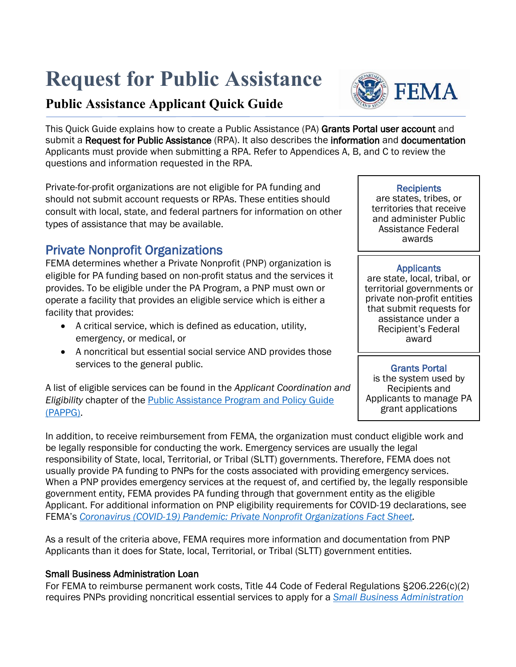# **Request for Public Assistance**

# **Public Assistance Applicant Quick Guide**

This Quick Guide explains how to create a Public Assistance (PA) [Grants Portal](https://grantee.fema.gov/) user account and submit a Request for Public Assistance (RPA). It also describes the information and documentation Applicants must provide when submitting a RPA. Refer to Appendices A, B, and C to review the questions and information requested in the RPA.

Private-for-profit organizations are not eligible for PA funding and should not submit account requests or RPAs. These entities should consult with local, state, and federal partners for information on other types of assistance that may be available.

# Private Nonprofit Organizations

FEMA determines whether a Private Nonprofit (PNP) organization is eligible for PA funding based on non-profit status and the services it provides. To be eligible under the PA Program, a PNP must own or operate a facility that provides an eligible service which is either a facility that provides:

- A critical service, which is defined as education, utility, emergency, or medical, or
- A noncritical but essential social service AND provides those services to the general public.

A list of eligible services can be found in the *Applicant Coordination and Eligibility* chapter of the [Public Assistance Program and Policy Guide](https://www.fema.gov/assistance/public/policy-guidance-fact-sheets)  [\(PAPPG\).](https://www.fema.gov/assistance/public/policy-guidance-fact-sheets)

In addition, to receive reimbursement from FEMA, the organization must conduct eligible work and be legally responsible for conducting the work. Emergency services are usually the legal responsibility of State, local, Territorial, or Tribal (SLTT) governments. Therefore, FEMA does not usually provide PA funding to PNPs for the costs associated with providing emergency services. When a PNP provides emergency services at the request of, and certified by, the legally responsible government entity, FEMA provides PA funding through that government entity as the eligible Applicant. For additional information on PNP eligibility requirements for COVID-19 declarations, see FEMA's *[Coronavirus \(COVID-19\) Pandemic: Private Nonprofit Organizations](https://www.fema.gov/news-release/2020/04/02/coronavirus-covid19-pandemic-private-nonprofit-organizations) Fact Sheet.*

As a result of the criteria above, FEMA requires more information and documentation from PNP Applicants than it does for State, local, Territorial, or Tribal (SLTT) government entities.

## Small Business Administration Loan

For FEMA to reimburse permanent work costs, Title 44 Code of Federal Regulations §206.226(c)(2) requires PNPs providing noncritical essential services to apply for a *[Small Business Administration](https://disasterloan.sba.gov/ela/Account/Login?ReturnUrl=%2Fela%2FLoanApplication%2FStartApplication)* 

are states, tribes, or territories that receive and administer Public Assistance Federal awards.

Applicants<br>are state, local, tribal, or territorial governments or private non-profit entities that submit requests for assistance under a Recipient's Federal award

## Grants Portal

is the system used by Recipients and Applicants to manage PA grant applications



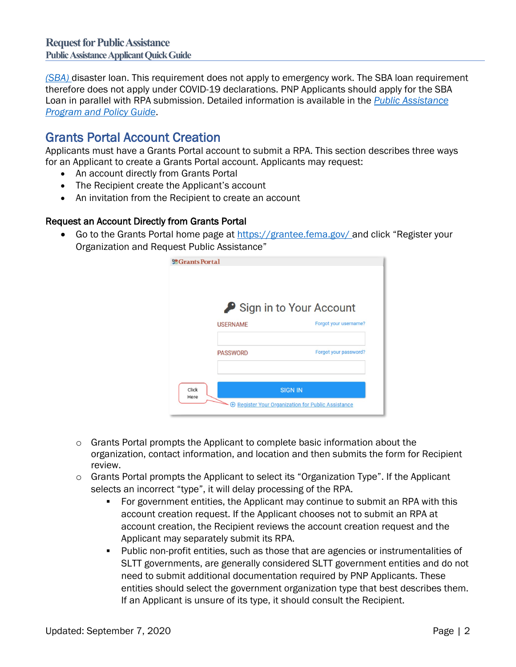*[\(SBA\)](https://disasterloan.sba.gov/ela/Account/Login?ReturnUrl=%2Fela%2FLoanApplication%2FStartApplication)* disaster loan. This requirement does not apply to emergency work. The SBA loan requirement therefore does not apply under COVID-19 declarations. PNP Applicants should apply for the SBA Loan in parallel with RPA submission. Detailed information is available in the *[Public Assistance](https://www.fema.gov/media-library/assets/documents/111781)  [Program and Policy Gu](https://www.fema.gov/media-library/assets/documents/111781)ide*.

Grants Portal Account Creation<br>Applicants must have a Grants Portal account to submit a RPA. This section describes three ways for an Applicant to create a Grants Portal account. Applicants may request:

- An account directly from Grants Portal
- The Recipient create the Applicant's account
- An invitation from the Recipient to create an account

#### Request an Account Directly from Grants Portal

• Go to the Grants Portal home page at<https://grantee.fema.gov/> and click "Register your Organization and Request Public Assistance"



- $\circ$  Grants Portal prompts the Applicant to complete basic information about the organization, contact information, and location and then submits the form for Recipient review.
- o Grants Portal prompts the Applicant to select its "Organization Type". If the Applicant selects an incorrect "type", it will delay processing of the RPA.
	- For government entities, the Applicant may continue to submit an RPA with this account creation request. If the Applicant chooses not to submit an RPA at account creation, the Recipient reviews the account creation request and the Applicant may separately submit its RPA.
	- **Public non-profit entities, such as those that are agencies or instrumentalities of** SLTT governments, are generally considered SLTT government entities and do not need to submit additional documentation required by PNP Applicants. These entities should select the government organization type that best describes them. If an Applicant is unsure of its type, it should consult the Recipient.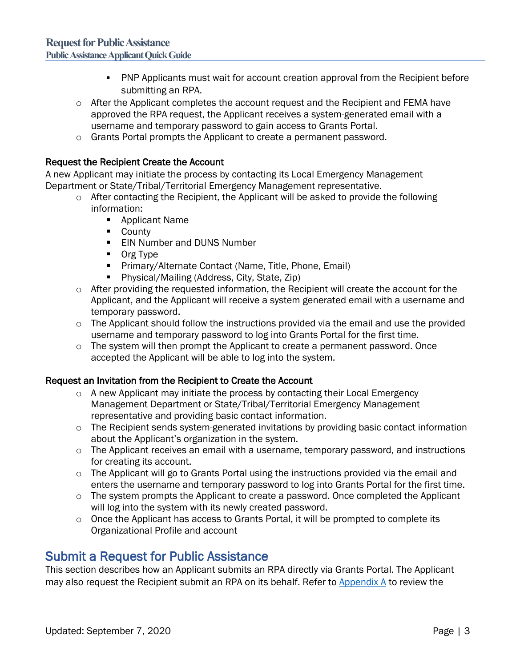- **PNP Applicants must wait for account creation approval from the Recipient before** submitting an RPA.
- $\circ$  After the Applicant completes the account request and the Recipient and FEMA have approved the RPA request, the Applicant receives a system-generated email with a username and temporary password to gain access to Grants Portal.
- o Grants Portal prompts the Applicant to create a permanent password.

### Request the Recipient Create the Account

A new Applicant may initiate the process by contacting its Local Emergency Management Department or State/Tribal/Territorial Emergency Management representative.

- $\circ$  After contacting the Recipient, the Applicant will be asked to provide the following information:
	- Applicant Name
	- **County**
	- **EIN Number and DUNS Number**
	- **Org Type**
	- **Primary/Alternate Contact (Name, Title, Phone, Email)**
	- **Physical/Mailing (Address, City, State, Zip)**
- o After providing the requested information, the Recipient will create the account for the Applicant, and the Applicant will receive a system generated email with a username and temporary password.
- $\circ$  The Applicant should follow the instructions provided via the email and use the provided username and temporary password to log into Grants Portal for the first time.
- $\circ$  The system will then prompt the Applicant to create a permanent password. Once accepted the Applicant will be able to log into the system.

### Request an Invitation from the Recipient to Create the Account

- $\circ$  A new Applicant may initiate the process by contacting their Local Emergency Management Department or State/Tribal/Territorial Emergency Management representative and providing basic contact information.
- $\circ$  The Recipient sends system-generated invitations by providing basic contact information about the Applicant's organization in the system.
- $\circ$  The Applicant receives an email with a username, temporary password, and instructions for creating its account.
- $\circ$  The Applicant will go to Grants Portal using the instructions provided via the email and enters the username and temporary password to log into Grants Portal for the first time.
- o The system prompts the Applicant to create a password. Once completed the Applicant will log into the system with its newly created password.
- o Once the Applicant has access to Grants Portal, it will be prompted to complete its Organizational Profile and account

Submit a Request for Public Assistance<br>This section describes how an Applicant submits an RPA directly via Grants Portal. The Applicant may also request the Recipient submit an RPA on its behalf. Refer to [Appendix A](#page-8-0) to review the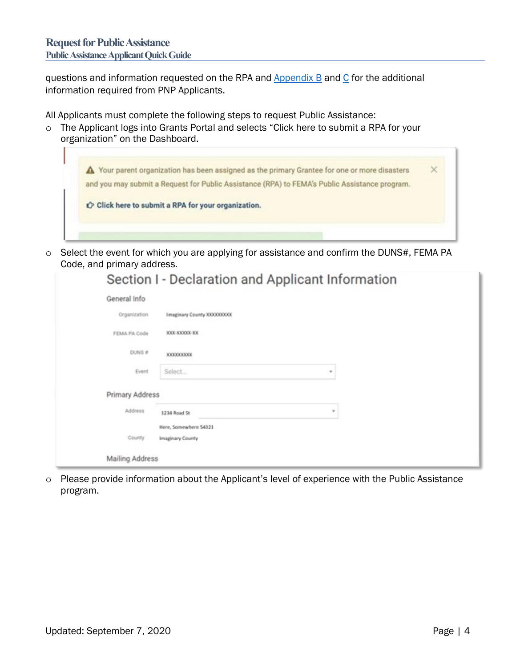Г

questions and information requested on the RPA and  $\Delta$ ppendix  $\Delta$  and  $\Delta$  for the additional information required from PNP Applicants.

All Applicants must complete the following steps to request Public Assistance:

o The Applicant logs into Grants Portal and selects "Click here to submit a RPA for your organization" on the Dashboard.

|                                                     |  | and you may submit a Request for Public Assistance (RPA) to FEMA's Public Assistance program. |  |
|-----------------------------------------------------|--|-----------------------------------------------------------------------------------------------|--|
|                                                     |  |                                                                                               |  |
| C Click here to submit a RPA for your organization. |  |                                                                                               |  |

o Select the event for which you are applying for assistance and confirm the DUNS#, FEMA PA Code, and primary address.

|                        | Section I - Declaration and Applicant Information |                          |  |
|------------------------|---------------------------------------------------|--------------------------|--|
| General Info           |                                                   |                          |  |
| Organization           | Imaginary County XXXXXXXXX                        |                          |  |
| FEMA PA Code           | XXX-XXXXXX-XX                                     |                          |  |
| DUNS #                 | 3000000000                                        |                          |  |
| Event                  | Select                                            | $\rightarrow$            |  |
| Primary Address        |                                                   |                          |  |
| Address                | 1234 Road St                                      | $\overline{\phantom{a}}$ |  |
| County                 | Here, Somewhere S4321<br>Imaginary County         |                          |  |
| <b>Mailing Address</b> |                                                   |                          |  |

o Please provide information about the Applicant's level of experience with the Public Assistance program.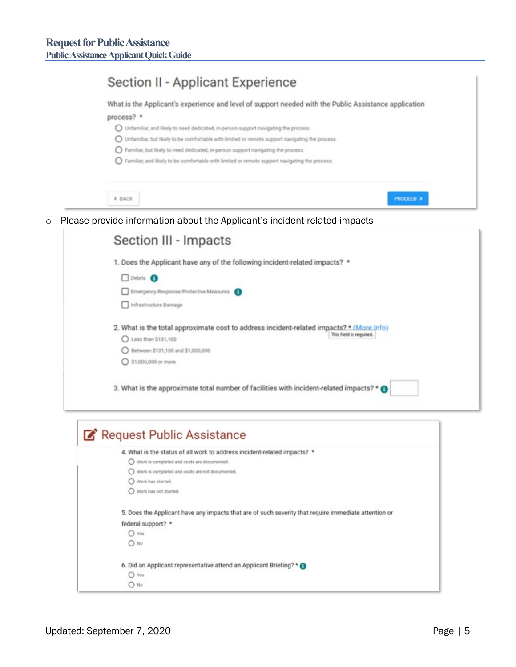| Section II - Applicant Experience                                                                                                                                                                   |
|-----------------------------------------------------------------------------------------------------------------------------------------------------------------------------------------------------|
| What is the Applicant's experience and level of support needed with the Public Assistance application                                                                                               |
| process? *                                                                                                                                                                                          |
| O Unfamiliar, and likely to need dedicated, in-person support navigating the process.<br>$\bigcirc$ Unfamiliar, but likely to be comfortable with limited or remote support navigating the process. |
| S Familiar, but likely to need dedicated, in person support navigating the process.                                                                                                                 |
| S Familiar, and likely to be comfortable with limited or remote support navigating the process.                                                                                                     |
| <b>&lt; BACK</b><br><b>PROCEED 3</b>                                                                                                                                                                |
|                                                                                                                                                                                                     |
| Please provide information about the Applicant's incident-related impacts                                                                                                                           |
| Section III - Impacts                                                                                                                                                                               |
| 1. Does the Applicant have any of the following incident-related impacts? *                                                                                                                         |
| Debris <sup>6</sup>                                                                                                                                                                                 |
| Emergency Response/Protective Measures                                                                                                                                                              |
| Infrastructure Damage                                                                                                                                                                               |
| 2. What is the total approximate cost to address incident-related impacts? *.(More.Info)                                                                                                            |
| This field is required.<br>C Less than \$131,100                                                                                                                                                    |
| ◯ Between \$131,100 and \$1,000,000                                                                                                                                                                 |
| ○ \$1,000,000 or more                                                                                                                                                                               |
| 3. What is the approximate total number of facilities with incident-related impacts? * @                                                                                                            |
|                                                                                                                                                                                                     |
| Request Public Assistance                                                                                                                                                                           |
| 4. What is the status of all work to address incident-related impacts? *                                                                                                                            |
| O Work is completed and costs are documented.                                                                                                                                                       |
| O Work is completed and costs are not documented.<br>O Work has started.                                                                                                                            |
| O Work has not started.                                                                                                                                                                             |

federal support? \*  $O$  Yes  $O$  No 6. Did an Applicant representative attend an Applicant Briefing? \* <sup>O</sup>  $O$  Yes  $O$  No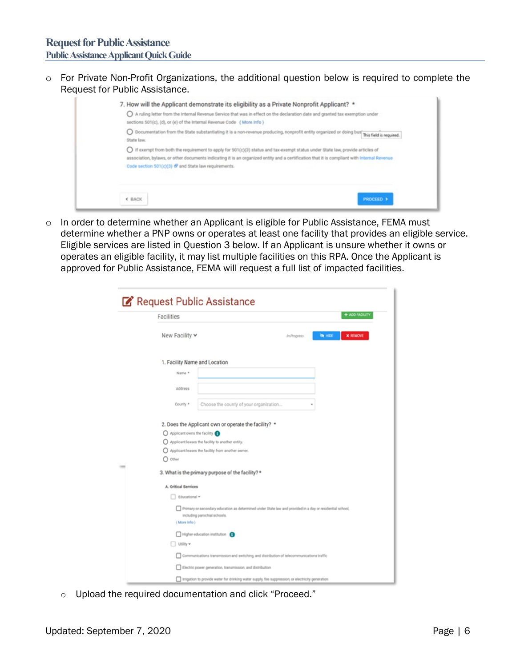o For Private Non-Profit Organizations, the additional question below is required to complete the Request for Public Assistance.



o In order to determine whether an Applicant is eligible for Public Assistance, FEMA must determine whether a PNP owns or operates at least one facility that provides an eligible service. Eligible services are listed in Question 3 below. If an Applicant is unsure whether it owns or operates an eligible facility, it may list multiple facilities on this RPA. Once the Applicant is approved for Public Assistance, FEMA will request a full list of impacted facilities.

| Request Public Assistance       |                                                                                                                                                            |                |
|---------------------------------|------------------------------------------------------------------------------------------------------------------------------------------------------------|----------------|
| <b>Facilities</b>               |                                                                                                                                                            | + ADD FACILITY |
| New Facility v                  | <b>BOILE</b><br><b>X REMOVE</b><br>In Progress                                                                                                             |                |
|                                 | 1. Facility Name and Location                                                                                                                              |                |
| Name *                          |                                                                                                                                                            |                |
| Address                         |                                                                                                                                                            |                |
| County *                        | Choose the county of your organization                                                                                                                     |                |
| O other<br>A. Critical Services | Applicant leases the facility to another entity.<br>Applicant leases the facility from another owner.<br>3. What is the primary purpose of the facility? * |                |
| Educational v                   |                                                                                                                                                            |                |
| (More Info.)                    | Primary or secondary education as determined under State law and provided in a day or residential school,<br>including parochial schools.                  |                |
| Littley w                       | Higher education institution                                                                                                                               |                |
|                                 | Communications transmission and switching, and distribution of telecommunications traffic                                                                  |                |
|                                 | Electric power generation, transmission, and distribution                                                                                                  |                |
|                                 | Infigurion to provide water for drinking water supply, fire suppression, or electricity generation                                                         |                |

o Upload the required documentation and click "Proceed."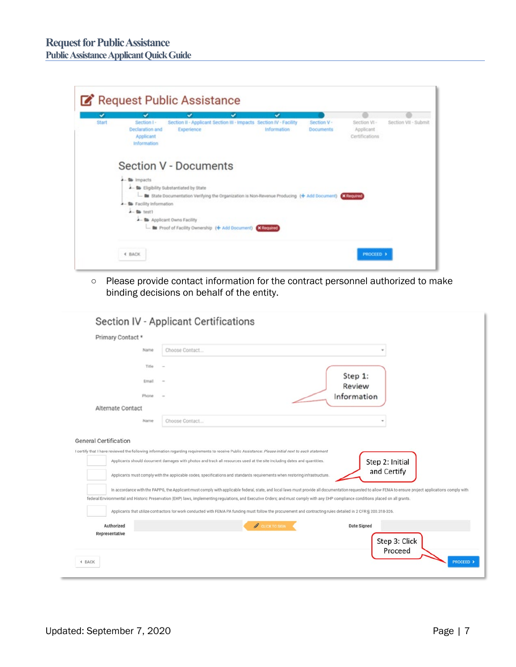| Section I -<br>Declaration and<br>Applicant | Section II - Applicant Section III - Impacts Section IV - Facility<br>Experience |                                                                                                                    |                              | Section V -                                                  | Section Vi-                 |                                                                                                    |
|---------------------------------------------|----------------------------------------------------------------------------------|--------------------------------------------------------------------------------------------------------------------|------------------------------|--------------------------------------------------------------|-----------------------------|----------------------------------------------------------------------------------------------------|
| Information                                 |                                                                                  |                                                                                                                    | Information                  | <b>Documents</b>                                             | Applicant<br>Certifications | Section VII - Submit                                                                               |
|                                             |                                                                                  |                                                                                                                    |                              |                                                              |                             |                                                                                                    |
|                                             |                                                                                  |                                                                                                                    |                              |                                                              |                             |                                                                                                    |
|                                             |                                                                                  |                                                                                                                    |                              |                                                              |                             |                                                                                                    |
| $\lambda$ - the test1                       |                                                                                  |                                                                                                                    |                              |                                                              |                             |                                                                                                    |
|                                             |                                                                                  |                                                                                                                    |                              |                                                              |                             |                                                                                                    |
|                                             | - M impacts                                                                      | - B Eligibility Substantiated by State<br><b>A</b> - <b>b</b> Facility Information<br>- la Applicant Owns Facility | <b>Section V - Documents</b> | - In Proof of Facility Ownership (+ Add Document) X Required |                             | State Documentation Verifying the Organization is Non-Revenue Producing (+ Add Document) X Regules |

o Please provide contact information for the contract personnel authorized to make binding decisions on behalf of the entity.

|                              | Name  | Choose Contact                                                                                                                                                                                           |               |                   |  |
|------------------------------|-------|----------------------------------------------------------------------------------------------------------------------------------------------------------------------------------------------------------|---------------|-------------------|--|
|                              |       |                                                                                                                                                                                                          |               |                   |  |
|                              | Title |                                                                                                                                                                                                          |               |                   |  |
|                              | Email |                                                                                                                                                                                                          |               | Step 1:<br>Review |  |
|                              | Phone |                                                                                                                                                                                                          |               | Information       |  |
| Alternate Contact            |       |                                                                                                                                                                                                          |               |                   |  |
|                              | Name  | Choose Contact                                                                                                                                                                                           |               |                   |  |
|                              |       |                                                                                                                                                                                                          |               |                   |  |
| <b>General Certification</b> |       |                                                                                                                                                                                                          |               |                   |  |
|                              |       | I certify that I have reviewed the following information regarding requirements to receive Public Assistance: Please initial next to each statement                                                      |               |                   |  |
|                              |       | Applicants should document damages with photos and track all resources used at the site including dates and quantities.                                                                                  |               | Step 2: Initial   |  |
|                              |       |                                                                                                                                                                                                          |               | and Certify       |  |
|                              |       |                                                                                                                                                                                                          |               |                   |  |
|                              |       | Applicants must comply with the applicable codes, specifications and standards requirements when restoring infrastructure.                                                                               |               |                   |  |
|                              |       | In accordance with the PAPPG, the Applicant must comply with applicable federal, state, and local laws must provide all documentation requested to allow FEMA to ensure project applications comply with |               |                   |  |
|                              |       | federal Environmental and Historic Preservation (EHP) laws, implementing regulations, and Executive Orders; and must comply with any EHP compliance conditions placed on all grants.                     |               |                   |  |
|                              |       | Applicants that utilize contractors for work conducted with FEMA PA funding must follow the procurement and contracting rules detailed in 2 CFR § 200.318-326.                                           |               |                   |  |
|                              |       |                                                                                                                                                                                                          |               |                   |  |
| Authorized<br>Representative |       |                                                                                                                                                                                                          | CLICK TO SIGN | Date Signed       |  |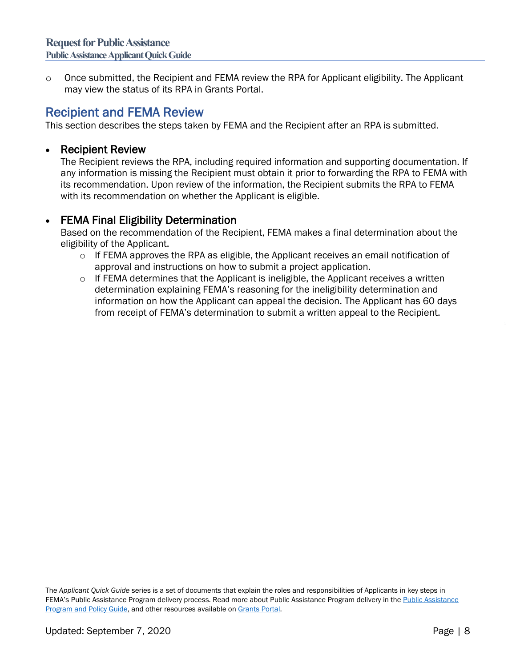o Once submitted, the Recipient and FEMA review the RPA for Applicant eligibility. The Applicant may view the status of its RPA in Grants Portal.

Recipient and FEMA Review<br>This section describes the steps taken by FEMA and the Recipient after an RPA is submitted.

### • Recipient Review

The Recipient reviews the RPA, including required information and supporting documentation. If any information is missing the Recipient must obtain it prior to forwarding the RPA to FEMA with its recommendation. Upon review of the information, the Recipient submits the RPA to FEMA with its recommendation on whether the Applicant is eligible.

## • FEMA Final Eligibility Determination

Based on the recommendation of the Recipient, FEMA makes a final determination about the eligibility of the Applicant.

- $\circ$  If FEMA approves the RPA as eligible, the Applicant receives an email notification of approval and instructions on how to submit a project application.
- $\circ$  If FEMA determines that the Applicant is ineligible, the Applicant receives a written determination explaining FEMA's reasoning for the ineligibility determination and information on how the Applicant can appeal the decision. The Applicant has 60 days from receipt of FEMA's determination to submit a written appeal to the Recipient.

The *Applicant Quick Guide* series is a set of documents that explain the roles and responsibilities of Applicants in key steps in FEMA's Public Assistance Program delivery process. Read more about Public Assistance Program delivery in th[e Public Assistance](https://www.fema.gov/media-library/assets/documents/111781)  [Program and Policy Guide,](https://www.fema.gov/media-library/assets/documents/111781) and other resources available o[n Grants](https://grantee.fema.gov/) Portal.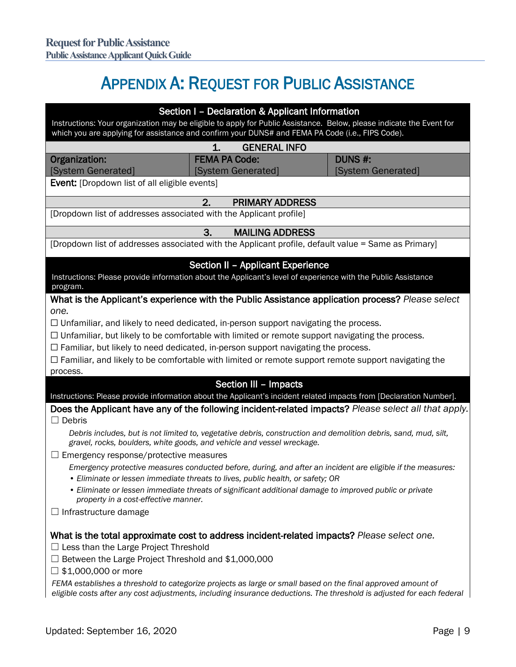# APPENDIX A: REQUEST FOR PUBLIC ASSISTANCE

<span id="page-8-0"></span>

|                                                                                                                                                                                                                                             | Section I - Declaration & Applicant Information                                                                                                                                               |                    |
|---------------------------------------------------------------------------------------------------------------------------------------------------------------------------------------------------------------------------------------------|-----------------------------------------------------------------------------------------------------------------------------------------------------------------------------------------------|--------------------|
| Instructions: Your organization may be eligible to apply for Public Assistance. Below, please indicate the Event for<br>which you are applying for assistance and confirm your DUNS# and FEMA PA Code (i.e., FIPS Code).                    |                                                                                                                                                                                               |                    |
|                                                                                                                                                                                                                                             | <b>GENERAL INFO</b><br>1.                                                                                                                                                                     |                    |
| Organization:                                                                                                                                                                                                                               | <b>FEMA PA Code:</b>                                                                                                                                                                          | <b>DUNS #:</b>     |
| [System Generated]                                                                                                                                                                                                                          | [System Generated]                                                                                                                                                                            | [System Generated] |
| <b>Event:</b> [Dropdown list of all eligible events]                                                                                                                                                                                        |                                                                                                                                                                                               |                    |
|                                                                                                                                                                                                                                             | 2.<br><b>PRIMARY ADDRESS</b>                                                                                                                                                                  |                    |
| [Dropdown list of addresses associated with the Applicant profile]                                                                                                                                                                          |                                                                                                                                                                                               |                    |
|                                                                                                                                                                                                                                             | 3.<br><b>MAILING ADDRESS</b>                                                                                                                                                                  |                    |
| [Dropdown list of addresses associated with the Applicant profile, default value = Same as Primary]                                                                                                                                         |                                                                                                                                                                                               |                    |
|                                                                                                                                                                                                                                             | <b>Section II - Applicant Experience</b>                                                                                                                                                      |                    |
| Instructions: Please provide information about the Applicant's level of experience with the Public Assistance<br>program.                                                                                                                   |                                                                                                                                                                                               |                    |
| What is the Applicant's experience with the Public Assistance application process? Please select                                                                                                                                            |                                                                                                                                                                                               |                    |
| one.                                                                                                                                                                                                                                        |                                                                                                                                                                                               |                    |
| $\Box$ Unfamiliar, and likely to need dedicated, in-person support navigating the process.                                                                                                                                                  |                                                                                                                                                                                               |                    |
| $\Box$ Unfamiliar, but likely to be comfortable with limited or remote support navigating the process.<br>$\Box$ Familiar, but likely to need dedicated, in-person support navigating the process.                                          |                                                                                                                                                                                               |                    |
| $\Box$ Familiar, and likely to be comfortable with limited or remote support remote support navigating the                                                                                                                                  |                                                                                                                                                                                               |                    |
| process.                                                                                                                                                                                                                                    |                                                                                                                                                                                               |                    |
|                                                                                                                                                                                                                                             | Section III - Impacts                                                                                                                                                                         |                    |
| Instructions: Please provide information about the Applicant's incident related impacts from [Declaration Number].                                                                                                                          |                                                                                                                                                                                               |                    |
| Does the Applicant have any of the following incident-related impacts? Please select all that apply.<br>Debris<br>Ш                                                                                                                         |                                                                                                                                                                                               |                    |
|                                                                                                                                                                                                                                             | Debris includes, but is not limited to, vegetative debris, construction and demolition debris, sand, mud, silt,                                                                               |                    |
|                                                                                                                                                                                                                                             | gravel, rocks, boulders, white goods, and vehicle and vessel wreckage.                                                                                                                        |                    |
| $\Box$ Emergency response/protective measures                                                                                                                                                                                               |                                                                                                                                                                                               |                    |
|                                                                                                                                                                                                                                             | Emergency protective measures conducted before, during, and after an incident are eligible if the measures:<br>• Eliminate or lessen immediate threats to lives, public health, or safety; OR |                    |
|                                                                                                                                                                                                                                             | • Eliminate or lessen immediate threats of significant additional damage to improved public or private                                                                                        |                    |
| property in a cost-effective manner.                                                                                                                                                                                                        |                                                                                                                                                                                               |                    |
| $\Box$ Infrastructure damage                                                                                                                                                                                                                |                                                                                                                                                                                               |                    |
| What is the total approximate cost to address incident-related impacts? Please select one.<br>$\Box$ Less than the Large Project Threshold<br>Between the Large Project Threshold and \$1,000,000<br>$\sqcup$<br>$\Box$ \$1,000,000 or more |                                                                                                                                                                                               |                    |
| FEMA establishes a threshold to categorize projects as large or small based on the final approved amount of<br>eligible costs after any cost adjustments, including insurance deductions. The threshold is adjusted for each federal        |                                                                                                                                                                                               |                    |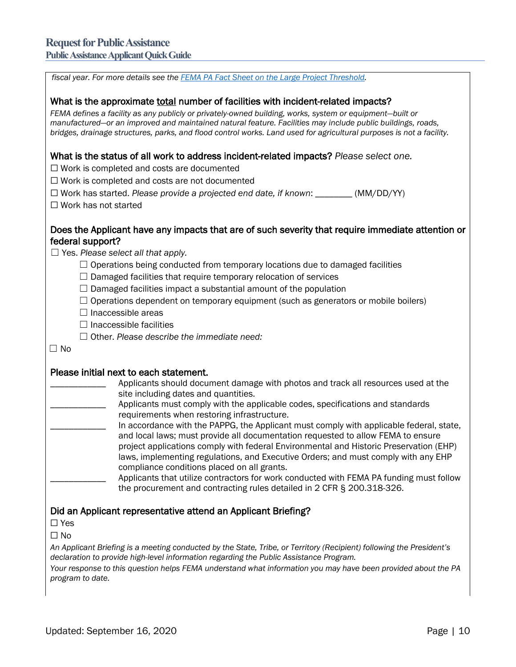**Public Assistance Applicant Quick Guide**

| fiscal year. For more details see the <b>FEMA PA Fact Sheet on the Large Project Threshold</b> .                                                                                                                                    |
|-------------------------------------------------------------------------------------------------------------------------------------------------------------------------------------------------------------------------------------|
| What is the approximate <b>total</b> number of facilities with incident-related impacts?<br>FEMA defines a facility as any publicly or privately-owned building, works, system or equipment-built or                                |
| manufactured-or an improved and maintained natural feature. Facilities may include public buildings, roads,<br>bridges, drainage structures, parks, and flood control works. Land used for agricultural purposes is not a facility. |
| What is the status of all work to address incident-related impacts? Please select one.<br>$\Box$ Work is completed and costs are documented                                                                                         |
| $\Box$ Work is completed and costs are not documented                                                                                                                                                                               |
| $\Box$ Work has started. Please provide a projected end date, if known: ________ (MM/DD/YY)                                                                                                                                         |
| $\Box$ Work has not started                                                                                                                                                                                                         |
| Does the Applicant have any impacts that are of such severity that require immediate attention or<br>federal support?<br>$\Box$ Yes. Please select all that apply.                                                                  |
| $\Box$ Operations being conducted from temporary locations due to damaged facilities                                                                                                                                                |
| $\Box$ Damaged facilities that require temporary relocation of services                                                                                                                                                             |
| $\Box$ Damaged facilities impact a substantial amount of the population                                                                                                                                                             |
| $\Box$ Operations dependent on temporary equipment (such as generators or mobile boilers)                                                                                                                                           |
| $\Box$ Inaccessible areas                                                                                                                                                                                                           |
| $\Box$ Inaccessible facilities                                                                                                                                                                                                      |
| $\Box$ Other. Please describe the immediate need:                                                                                                                                                                                   |
| $\Box$ No                                                                                                                                                                                                                           |
| Please initial next to each statement.                                                                                                                                                                                              |
| Applicants should document damage with photos and track all resources used at the<br>site including dates and quantities.                                                                                                           |
| Applicants must comply with the applicable codes, specifications and standards                                                                                                                                                      |
| requirements when restoring infrastructure.<br>In accordance with the PAPPG, the Applicant must comply with applicable federal, state,                                                                                              |
| and local laws; must provide all documentation requested to allow FEMA to ensure                                                                                                                                                    |
| project applications comply with federal Environmental and Historic Preservation (EHP)<br>laws, implementing regulations, and Executive Orders; and must comply with any EHP                                                        |
| compliance conditions placed on all grants.                                                                                                                                                                                         |
| Applicants that utilize contractors for work conducted with FEMA PA funding must follow<br>the procurement and contracting rules detailed in 2 CFR § 200.318-326.                                                                   |
| Did an Applicant representative attend an Applicant Briefing?                                                                                                                                                                       |
| $\Box$ Yes                                                                                                                                                                                                                          |
| $\Box$ No                                                                                                                                                                                                                           |
| An Applicant Briefing is a meeting conducted by the State, Tribe, or Territory (Recipient) following the President's<br>declaration to provide high-level information regarding the Public Assistance Program.                      |
| Your response to this question helps FEMA understand what information you may have been provided about the PA<br>program to date.                                                                                                   |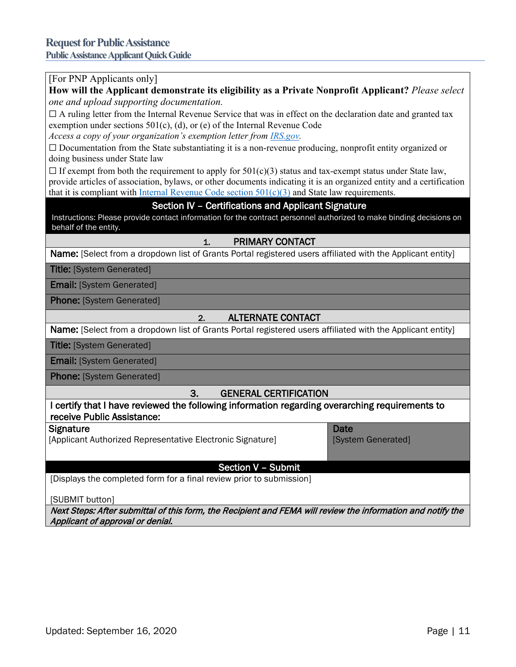#### [For PNP Applicants only]

**How will the Applicant demonstrate its eligibility as a Private Nonprofit Applicant?** *Please select one and upload supporting documentation.* 

 $\Box$  A ruling letter from the Internal Revenue Service that was in effect on the declaration date and granted tax exemption under sections 501(c), (d), or (e) of the Internal Revenue Code

*Access a copy of your organization's exemption letter from [IRS.gov.](https://www.irs.gov/charities-non-profits/eo-operational-requirements-obtaining-copies-of-exemption-determination-letter-from-irs)*

 $\Box$  Documentation from the State substantiating it is a non-revenue producing, nonprofit entity organized or doing business under State law

 $\Box$  If exempt from both the requirement to apply for 501(c)(3) status and tax-exempt status under State law, provide articles of association, bylaws, or other documents indicating it is an organized entity and a certification that it is compliant with Internal Revenue Code section  $501(c)(3)$  and State law requirements.

#### Section IV – Certifications and Applicant Signature

Instructions: Please provide contact information for the contract personnel authorized to make binding decisions on behalf of the entity.

#### 1. PRIMARY CONTACT

Name: [Select from a dropdown list of Grants Portal registered users affiliated with the Applicant entity]

**Title: [System Generated]** 

Email: [System Generated]

Phone: [System Generated]

#### 2. ALTERNATE CONTACT

Name: [Select from a dropdown list of Grants Portal registered users affiliated with the Applicant entity]

**Title: [System Generated]** 

Email: [System Generated]

Phone: [System Generated]

#### 3. GENERAL CERTIFICATION

I certify that I have reviewed the following information regarding overarching requirements to receive Public Assistance:

#### **Signature**

[Applicant Authorized Representative Electronic Signature]

#### Date [System Generated]

Section V – Submit

[Displays the completed form for a final review prior to submission]

[SUBMIT button]

<span id="page-10-0"></span>Next Steps: After submittal of this form, the Recipient and FEMA will review the information and notify the Applicant of approval or denial.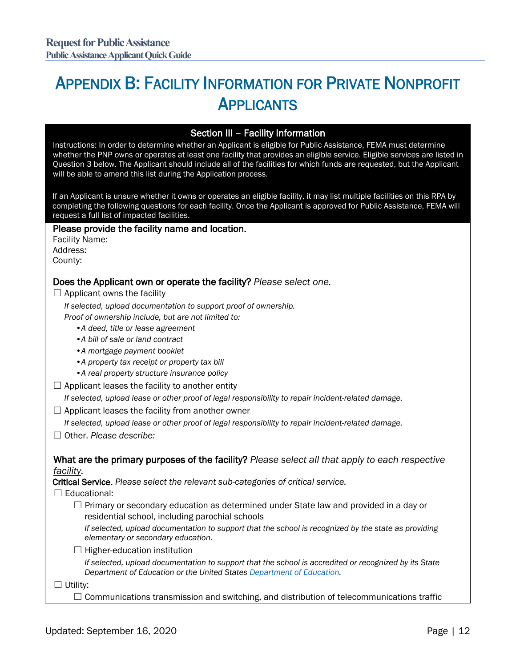# APPENDIX B: FACILITY INFORMATION FOR PRIVATE NONPROFIT **APPLICANTS**

#### Section III – Facility Information

Instructions: In order to determine whether an Applicant is eligible for Public Assistance, FEMA must determine whether the PNP owns or operates at least one facility that provides an eligible service. Eligible services are listed in Question 3 below. The Applicant should include all of the facilities for which funds are requested, but the Applicant will be able to amend this list during the Application process.

If an Applicant is unsure whether it owns or operates an eligible facility, it may list multiple facilities on this RPA by completing the following questions for each facility. Once the Applicant is approved for Public Assistance, FEMA will request a full list of impacted facilities.

#### Please provide the facility name and location.

Facility Name: Address: County:

#### Does the Applicant own or operate the facility? *Please select one.*

 $\Box$  Applicant owns the facility

*If selected, upload documentation to support proof of ownership. Proof of ownership include, but are not limited to:*

- *•A deed, title or lease agreement*
- *•A bill of sale or land contract*
- *•A mortgage payment booklet*
- *•A property tax receipt or property tax bill*
- *•A real property structure insurance policy*
- $\Box$  Applicant leases the facility to another entity

*If selected, upload lease or other proof of legal responsibility to repair incident-related damage.*

 $\Box$  Applicant leases the facility from another owner

*If selected, upload lease or other proof of legal responsibility to repair incident-related damage.*

☐ Other. *Please describe:*

#### What are the primary purposes of the facility? *Please select all that apply to each respective facility.*

Critical Service. *Please select the relevant sub-categories of critical service.*

 $\Box$  Educational:

 $\Box$  Primary or secondary education as determined under State law and provided in a day or residential school, including parochial schools

*If selected, upload documentation to support that the school is recognized by the state as providing elementary or secondary education.*

 $\Box$  Higher-education institution

*If selected, upload documentation to support that the school is accredited or recognized by its State Department of Education or the United States [Department of Education.](https://ope.ed.gov/dapip/#/home)*

☐ Utility:

 $\Box$  Communications transmission and switching, and distribution of telecommunications traffic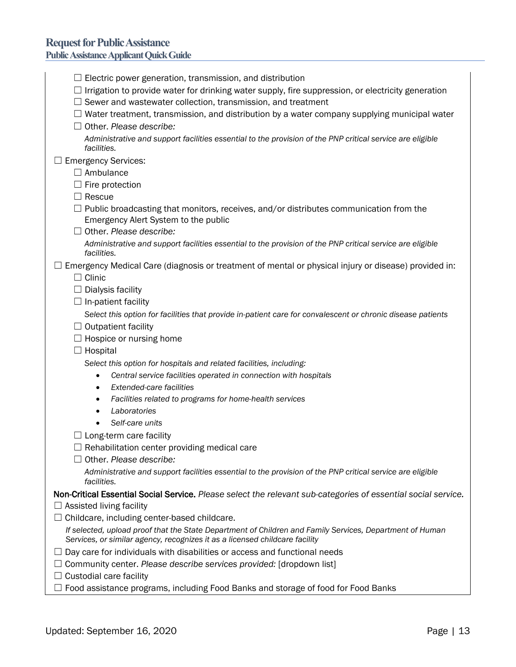| $\Box$ Electric power generation, transmission, and distribution                                                                                                                        |
|-----------------------------------------------------------------------------------------------------------------------------------------------------------------------------------------|
| $\Box$ Irrigation to provide water for drinking water supply, fire suppression, or electricity generation                                                                               |
| $\Box$ Sewer and wastewater collection, transmission, and treatment                                                                                                                     |
| $\Box$ Water treatment, transmission, and distribution by a water company supplying municipal water                                                                                     |
| $\Box$ Other, Please describe:                                                                                                                                                          |
| Administrative and support facilities essential to the provision of the PNP critical service are eligible<br>facilities.                                                                |
| $\Box$ Emergency Services:                                                                                                                                                              |
| $\Box$ Ambulance                                                                                                                                                                        |
| $\Box$ Fire protection                                                                                                                                                                  |
| $\Box$ Rescue                                                                                                                                                                           |
| $\Box$ Public broadcasting that monitors, receives, and/or distributes communication from the<br>Emergency Alert System to the public                                                   |
| $\Box$ Other. Please describe:                                                                                                                                                          |
| Administrative and support facilities essential to the provision of the PNP critical service are eligible<br>facilities.                                                                |
| $\Box$ Emergency Medical Care (diagnosis or treatment of mental or physical injury or disease) provided in:                                                                             |
| $\Box$ Clinic                                                                                                                                                                           |
| $\Box$ Dialysis facility                                                                                                                                                                |
| $\Box$ In-patient facility                                                                                                                                                              |
| Select this option for facilities that provide in-patient care for convalescent or chronic disease patients                                                                             |
| $\Box$ Outpatient facility                                                                                                                                                              |
| $\Box$ Hospice or nursing home                                                                                                                                                          |
| $\Box$ Hospital                                                                                                                                                                         |
| Select this option for hospitals and related facilities, including:                                                                                                                     |
| Central service facilities operated in connection with hospitals<br>٠                                                                                                                   |
| <b>Extended-care facilities</b><br>$\bullet$                                                                                                                                            |
| Facilities related to programs for home-health services<br>٠                                                                                                                            |
| Laboratories<br>٠                                                                                                                                                                       |
| Self-care units                                                                                                                                                                         |
| $\Box$ Long-term care facility                                                                                                                                                          |
| $\Box$ Rehabilitation center providing medical care                                                                                                                                     |
| $\Box$ Other. Please describe:                                                                                                                                                          |
| Administrative and support facilities essential to the provision of the PNP critical service are eligible<br>facilities.                                                                |
| Non-Critical Essential Social Service. Please select the relevant sub-categories of essential social service.                                                                           |
| $\Box$ Assisted living facility                                                                                                                                                         |
| Childcare, including center-based childcare.                                                                                                                                            |
| If selected, upload proof that the State Department of Children and Family Services, Department of Human<br>Services, or similar agency, recognizes it as a licensed childcare facility |
| Day care for individuals with disabilities or access and functional needs                                                                                                               |
| $\Box$ Community center. Please describe services provided: [dropdown list]                                                                                                             |
| $\Box$ Custodial care facility                                                                                                                                                          |
| $\Box$ Food assistance programs, including Food Banks and storage of food for Food Banks                                                                                                |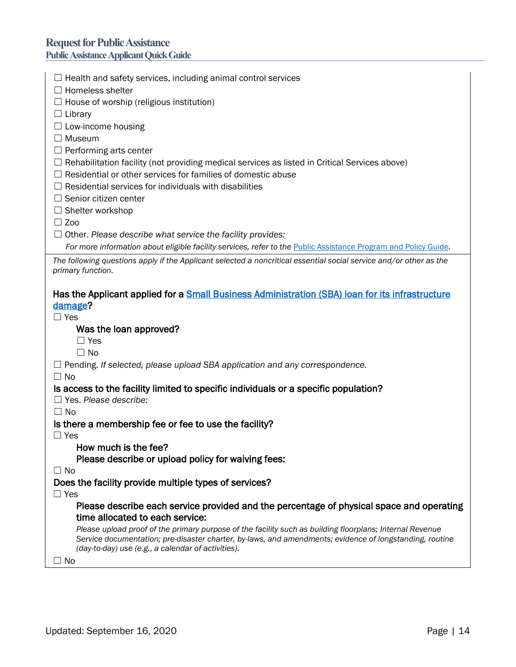# **Request for Public Assistance**

**Public Assistance Applicant Quick Guide**

| $\Box$ Health and safety services, including animal control services                                                                                                                                                                                                      |
|---------------------------------------------------------------------------------------------------------------------------------------------------------------------------------------------------------------------------------------------------------------------------|
| $\Box$ Homeless shelter                                                                                                                                                                                                                                                   |
| $\Box$ House of worship (religious institution)                                                                                                                                                                                                                           |
| $\Box$ Library                                                                                                                                                                                                                                                            |
| $\Box$ Low-income housing                                                                                                                                                                                                                                                 |
| $\Box$ Museum                                                                                                                                                                                                                                                             |
| $\Box$ Performing arts center                                                                                                                                                                                                                                             |
| $\Box$ Rehabilitation facility (not providing medical services as listed in Critical Services above)                                                                                                                                                                      |
| $\Box$ Residential or other services for families of domestic abuse                                                                                                                                                                                                       |
| $\Box$ Residential services for individuals with disabilities                                                                                                                                                                                                             |
| $\Box$ Senior citizen center                                                                                                                                                                                                                                              |
| $\Box$ Shelter workshop                                                                                                                                                                                                                                                   |
| $\Box$ Zoo                                                                                                                                                                                                                                                                |
| $\Box$ Other. Please describe what service the facility provides:                                                                                                                                                                                                         |
| For more information about eligible facility services, refer to the Public Assistance Program and Policy Guide.                                                                                                                                                           |
| The following questions apply if the Applicant selected a noncritical essential social service and/or other as the<br>primary function.                                                                                                                                   |
| Has the Applicant applied for a Small Business Administration (SBA) loan for its infrastructure                                                                                                                                                                           |
| damage?                                                                                                                                                                                                                                                                   |
| $\Box$ Yes                                                                                                                                                                                                                                                                |
| Was the loan approved?                                                                                                                                                                                                                                                    |
|                                                                                                                                                                                                                                                                           |
| $\Box$ Yes                                                                                                                                                                                                                                                                |
| $\Box$ No                                                                                                                                                                                                                                                                 |
| $\Box$ Pending. If selected, please upload SBA application and any correspondence.                                                                                                                                                                                        |
| $\Box$ No                                                                                                                                                                                                                                                                 |
| Is access to the facility limited to specific individuals or a specific population?                                                                                                                                                                                       |
| $\Box$ Yes. Please describe:                                                                                                                                                                                                                                              |
| $\Box$ No                                                                                                                                                                                                                                                                 |
| Is there a membership fee or fee to use the facility?                                                                                                                                                                                                                     |
| $\Box$ Yes                                                                                                                                                                                                                                                                |
| How much is the fee?                                                                                                                                                                                                                                                      |
| Please describe or upload policy for waiving fees:                                                                                                                                                                                                                        |
| $\Box$ No                                                                                                                                                                                                                                                                 |
| Does the facility provide multiple types of services?                                                                                                                                                                                                                     |
| $\Box$ Yes                                                                                                                                                                                                                                                                |
| Please describe each service provided and the percentage of physical space and operating<br>time allocated to each service:                                                                                                                                               |
| Please upload proof of the primary purpose of the facility such as building floorplans; Internal Revenue<br>Service documentation; pre-disaster charter, by-laws, and amendments; evidence of longstanding, routine<br>(day-to-day) use (e.g., a calendar of activities). |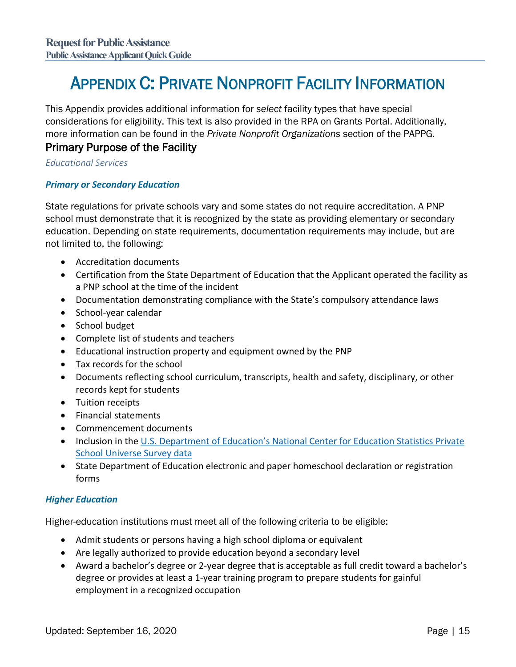# <span id="page-14-0"></span>APPENDIX C: PRIVATE NONPROFIT FACILITY INFORMATION

This Appendix provides additional information for *select* facility types that have special considerations for eligibility. This text is also provided in the RPA on Grants Portal. Additionally, more information can be found in the *Private Nonprofit Organizations* section of the PAPPG.

## Primary Purpose of the Facility

*Educational Services*

#### *Primary or Secondary Education*

State regulations for private schools vary and some states do not require accreditation. A PNP school must demonstrate that it is recognized by the state as providing elementary or secondary education. Depending on state requirements, documentation requirements may include, but are not limited to, the following:

- Accreditation documents
- Certification from the State Department of Education that the Applicant operated the facility as a PNP school at the time of the incident
- Documentation demonstrating compliance with the State's compulsory attendance laws
- School-year calendar
- School budget
- Complete list of students and teachers
- Educational instruction property and equipment owned by the PNP
- Tax records for the school
- Documents reflecting school curriculum, transcripts, health and safety, disciplinary, or other records kept for students
- Tuition receipts
- Financial statements
- Commencement documents
- Inclusion in the U.S. Department of [Education's National Center for Education Statistics Private](https://nces.ed.gov/surveys/pss/privateschoolsearch/)  [School Universe Survey data](https://nces.ed.gov/surveys/pss/privateschoolsearch/)
- State Department of Education electronic and paper homeschool declaration or registration forms

### *Higher Education*

Higher-education institutions must meet all of the following criteria to be eligible:

- Admit students or persons having a high school diploma or equivalent
- Are legally authorized to provide education beyond a secondary level
- Award a bachelor's degree or 2-year degree that is acceptable as full credit toward a bachelor's degree or provides at least a 1-year training program to prepare students for gainful employment in a recognized occupation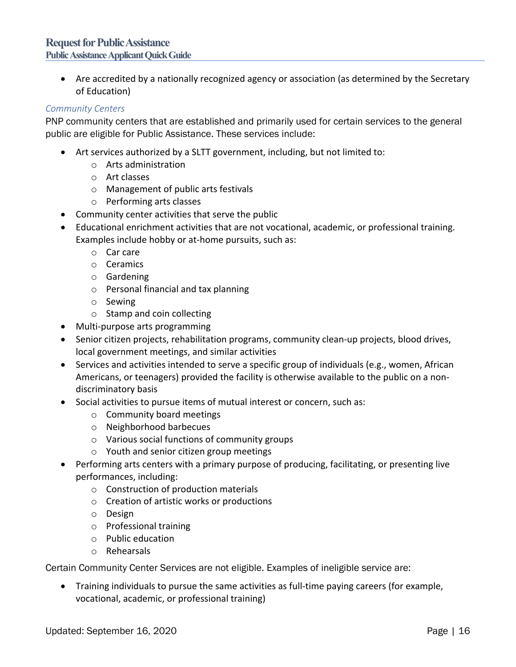#### **Request for Public Assistance Public Assistance Applicant Quick Guide**

• Are accredited by a nationally recognized agency or association (as determined by the Secretary of Education)

#### *Community Centers*

PNP community centers that are established and primarily used for certain services to the general public are eligible for Public Assistance. These services include:

- Art services authorized by a SLTT government, including, but not limited to:
	- o Arts administration
	- o Art classes
	- o Management of public arts festivals
	- o Performing arts classes
- Community center activities that serve the public
- Educational enrichment activities that are not vocational, academic, or professional training. Examples include hobby or at-home pursuits, such as:
	- o Car care
	- o Ceramics
	- o Gardening
	- o Personal financial and tax planning
	- o Sewing
	- o Stamp and coin collecting
- Multi-purpose arts programming
- Senior citizen projects, rehabilitation programs, community clean-up projects, blood drives, local government meetings, and similar activities
- Services and activities intended to serve a specific group of individuals (e.g., women, African Americans, or teenagers) provided the facility is otherwise available to the public on a nondiscriminatory basis
- Social activities to pursue items of mutual interest or concern, such as:
	- o Community board meetings
	- o Neighborhood barbecues
	- o Various social functions of community groups
	- o Youth and senior citizen group meetings
- Performing arts centers with a primary purpose of producing, facilitating, or presenting live performances, including:
	- o Construction of production materials
	- o Creation of artistic works or productions
	- o Design
	- o Professional training
	- o Public education
	- o Rehearsals

Certain Community Center Services are not eligible. Examples of ineligible service are:

• Training individuals to pursue the same activities as full-time paying careers (for example, vocational, academic, or professional training)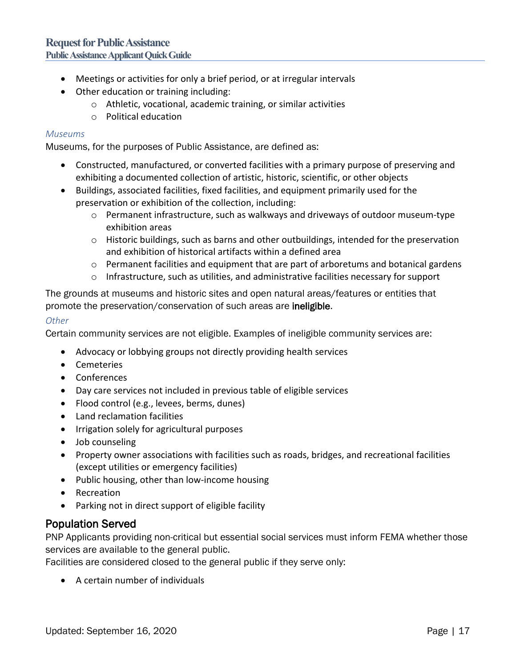- Meetings or activities for only a brief period, or at irregular intervals
- Other education or training including:
	- o Athletic, vocational, academic training, or similar activities
	- o Political education

#### *Museums*

Museums, for the purposes of Public Assistance, are defined as:

- Constructed, manufactured, or converted facilities with a primary purpose of preserving and exhibiting a documented collection of artistic, historic, scientific, or other objects
- Buildings, associated facilities, fixed facilities, and equipment primarily used for the preservation or exhibition of the collection, including:
	- $\circ$  Permanent infrastructure, such as walkways and driveways of outdoor museum-type exhibition areas
	- $\circ$  Historic buildings, such as barns and other outbuildings, intended for the preservation and exhibition of historical artifacts within a defined area
	- $\circ$  Permanent facilities and equipment that are part of arboretums and botanical gardens
	- o Infrastructure, such as utilities, and administrative facilities necessary for support

The grounds at museums and historic sites and open natural areas/features or entities that promote the preservation/conservation of such areas are ineligible.

#### *Other*

Certain community services are not eligible. Examples of ineligible community services are:

- Advocacy or lobbying groups not directly providing health services
- Cemeteries
- Conferences
- Day care services not included in previous table of eligible services
- Flood control (e.g., levees, berms, dunes)
- Land reclamation facilities
- Irrigation solely for agricultural purposes
- Job counseling
- Property owner associations with facilities such as roads, bridges, and recreational facilities (except utilities or emergency facilities)
- Public housing, other than low-income housing
- Recreation
- Parking not in direct support of eligible facility

### Population Served

PNP Applicants providing non-critical but essential social services must inform FEMA whether those services are available to the general public.

Facilities are considered closed to the general public if they serve only:

• A certain number of individuals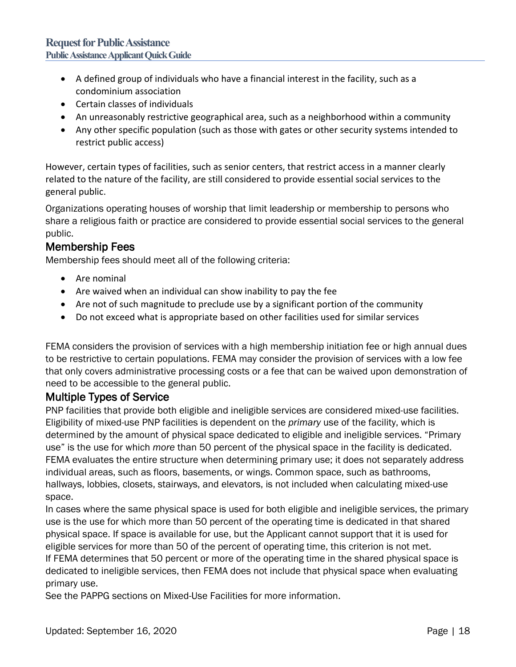- A defined group of individuals who have a financial interest in the facility, such as a condominium association
- Certain classes of individuals
- An unreasonably restrictive geographical area, such as a neighborhood within a community
- Any other specific population (such as those with gates or other security systems intended to restrict public access)

However, certain types of facilities, such as senior centers, that restrict access in a manner clearly related to the nature of the facility, are still considered to provide essential social services to the general public.

Organizations operating houses of worship that limit leadership or membership to persons who share a religious faith or practice are considered to provide essential social services to the general public.

# Membership Fees

Membership fees should meet all of the following criteria:

- Are nominal
- Are waived when an individual can show inability to pay the fee
- Are not of such magnitude to preclude use by a significant portion of the community
- Do not exceed what is appropriate based on other facilities used for similar services

FEMA considers the provision of services with a high membership initiation fee or high annual dues to be restrictive to certain populations. FEMA may consider the provision of services with a low fee that only covers administrative processing costs or a fee that can be waived upon demonstration of need to be accessible to the general public.

# Multiple Types of Service

PNP facilities that provide both eligible and ineligible services are considered mixed-use facilities. Eligibility of mixed-use PNP facilities is dependent on the *primary* use of the facility, which is determined by the amount of physical space dedicated to eligible and ineligible services. "Primary use" is the use for which *more* than 50 percent of the physical space in the facility is dedicated. FEMA evaluates the entire structure when determining primary use; it does not separately address individual areas, such as floors, basements, or wings. Common space, such as bathrooms, hallways, lobbies, closets, stairways, and elevators, is not included when calculating mixed-use space.

In cases where the same physical space is used for both eligible and ineligible services, the primary use is the use for which more than 50 percent of the operating time is dedicated in that shared physical space. If space is available for use, but the Applicant cannot support that it is used for eligible services for more than 50 of the percent of operating time, this criterion is not met. If FEMA determines that 50 percent or more of the operating time in the shared physical space is dedicated to ineligible services, then FEMA does not include that physical space when evaluating primary use.

See the PAPPG sections on Mixed-Use Facilities for more information.